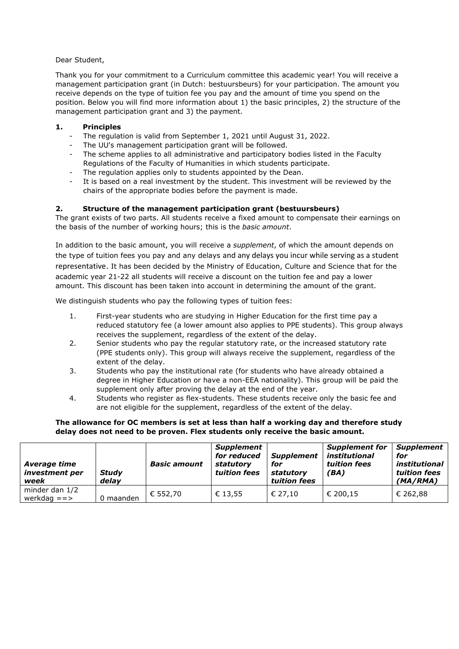## Dear Student,

Thank you for your commitment to a Curriculum committee this academic year! You will receive a management participation grant (in Dutch: bestuursbeurs) for your participation. The amount you receive depends on the type of tuition fee you pay and the amount of time you spend on the position. Below you will find more information about 1) the basic principles, 2) the structure of the management participation grant and 3) the payment.

## **1. Principles**

- The regulation is valid from September 1, 2021 until August 31, 2022.
- The UU's management participation grant will be followed.
- The scheme applies to all administrative and participatory bodies listed in the Faculty Regulations of the Faculty of Humanities in which students participate.
- The regulation applies only to students appointed by the Dean.
- It is based on a real investment by the student. This investment will be reviewed by the chairs of the appropriate bodies before the payment is made.

## **2. Structure of the management participation grant (bestuursbeurs)**

The grant exists of two parts. All students receive a fixed amount to compensate their earnings on the basis of the number of working hours; this is the *basic amount*.

In addition to the basic amount, you will receive a *supplement*, of which the amount depends on the type of tuition fees you pay and any delays and any delays you incur while serving as a student representative. It has been decided by the Ministry of Education, Culture and Science that for the academic year 21-22 all students will receive a discount on the tuition fee and pay a lower

amount. This discount has been taken into account in determining the amount of the grant.

We distinguish students who pay the following types of tuition fees:

- 1. First-year students who are studying in Higher Education for the first time pay a reduced statutory fee (a lower amount also applies to PPE students). This group always receives the supplement, regardless of the extent of the delay.
- 2. Senior students who pay the regular statutory rate, or the increased statutory rate (PPE students only). This group will always receive the supplement, regardless of the extent of the delay.
- 3. Students who pay the institutional rate (for students who have already obtained a degree in Higher Education or have a non-EEA nationality). This group will be paid the supplement only after proving the delay at the end of the year.
- 4. Students who register as flex-students. These students receive only the basic fee and are not eligible for the supplement, regardless of the extent of the delay.

#### **The allowance for OC members is set at less than half a working day and therefore study delay does not need to be proven. Flex students only receive the basic amount.**

| Average time<br>investment per<br>week | <b>Study</b><br>delav | <b>Basic amount</b> | <b>Supplement</b><br>for reduced<br>statutory<br>tuition fees | <b>Supplement</b><br>for<br>statutory<br>tuition fees | <b>Supplement for</b><br>institutional<br>tuition fees<br>(BA) | <b>Supplement</b><br>for<br>institutional<br>tuition fees<br>(MA/RMA) |
|----------------------------------------|-----------------------|---------------------|---------------------------------------------------------------|-------------------------------------------------------|----------------------------------------------------------------|-----------------------------------------------------------------------|
| minder dan 1/2<br>werkdag $==>$        | 0 maanden             | € 552.70            | € 13.55                                                       | € 27.10                                               | € 200,15                                                       | € 262,88                                                              |